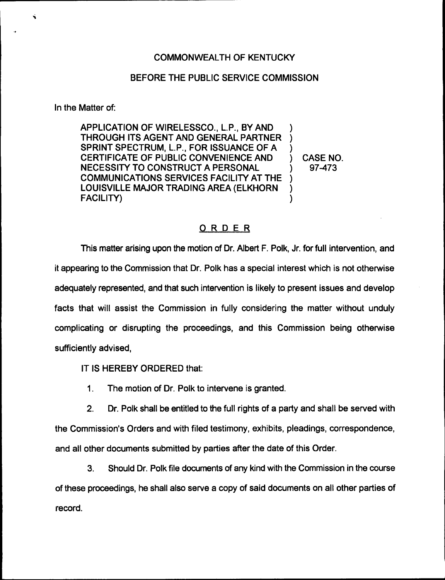## BEFORE THE PUBLIC SERVICE COMMISSION

In the Matter of:

APPLICATION OF WIRELESSCO., L.P., BY AND THROUGH ITS AGENT AND GENERAL PARTNER SPRINT SPECTRUM, L.P., FOR ISSUANCE OF A CERTIFICATE OF PUBLIC CONVENIENCE AND NECESSITY TO CONSTRUCT A PERSONAL COMMUNICATIONS SERVICES FACILITY AT THE LOUISVILLE MAJOR TRADING AREA {ELKHORN FACILITY) ) ) ) ) ) )

) CASE NO. ) 97-473

## ORDER

This matter arising upon the motion of Dr. Albert F. Polk, Jr. for full intervention, and it appearing to the Commission that Dr. Polk has a special interest which is not otherwise adequately represented, and that such intervention is likely to present issues and develop facts that will assist the Commission in fully considering the matter without unduly complicating or disrupting the proceedings, and this Commission being otherwise sufficiently advised,

IT IS HEREBY ORDERED that:

1. The motion of Dr. Polk to intervene is granted.

2. Dr. Polk shall be entitled to the full rights of a party and shall be served with the Commission's Orders and with filed testimony, exhibits, pleadings, correspondence, and all other documents submitted by parties after the date of this Order.

3. Should Dr. Polk file documents of any kind with the Commission in the course of these proceedings, he shall also serve a copy of said documents on all other parties of record.